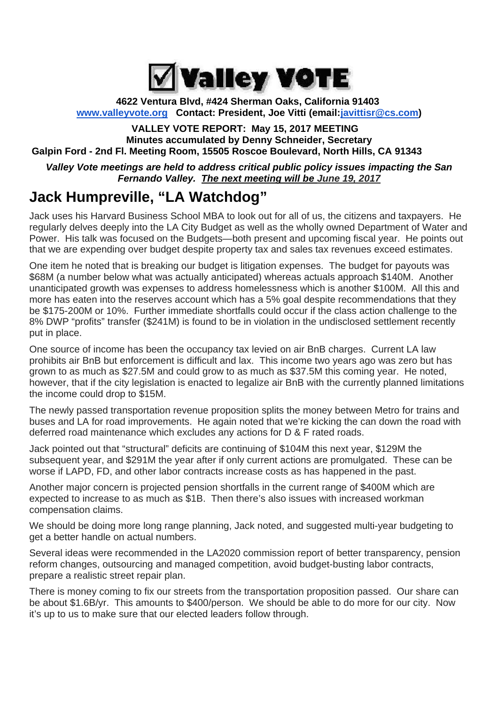

**4622 Ventura Blvd, #424 Sherman Oaks, California 91403 www.valleyvote.org Contact: President, Joe Vitti (email:javittisr@cs.com)**

#### **VALLEY VOTE REPORT: May 15, 2017 MEETING Minutes accumulated by Denny Schneider, Secretary Galpin Ford - 2nd Fl. Meeting Room, 15505 Roscoe Boulevard, North Hills, CA 91343**

*Valley Vote meetings are held to address critical public policy issues impacting the San Fernando Valley. The next meeting will be June 19, 2017*

## **Jack Humpreville, "LA Watchdog"**

Jack uses his Harvard Business School MBA to look out for all of us, the citizens and taxpayers. He regularly delves deeply into the LA City Budget as well as the wholly owned Department of Water and Power. His talk was focused on the Budgets—both present and upcoming fiscal year. He points out that we are expending over budget despite property tax and sales tax revenues exceed estimates.

One item he noted that is breaking our budget is litigation expenses. The budget for payouts was \$68M (a number below what was actually anticipated) whereas actuals approach \$140M. Another unanticipated growth was expenses to address homelessness which is another \$100M. All this and more has eaten into the reserves account which has a 5% goal despite recommendations that they be \$175-200M or 10%. Further immediate shortfalls could occur if the class action challenge to the 8% DWP "profits" transfer (\$241M) is found to be in violation in the undisclosed settlement recently put in place.

One source of income has been the occupancy tax levied on air BnB charges. Current LA law prohibits air BnB but enforcement is difficult and lax. This income two years ago was zero but has grown to as much as \$27.5M and could grow to as much as \$37.5M this coming year. He noted, however, that if the city legislation is enacted to legalize air BnB with the currently planned limitations the income could drop to \$15M.

The newly passed transportation revenue proposition splits the money between Metro for trains and buses and LA for road improvements. He again noted that we're kicking the can down the road with deferred road maintenance which excludes any actions for D & F rated roads.

Jack pointed out that "structural" deficits are continuing of \$104M this next year, \$129M the subsequent year, and \$291M the year after if only current actions are promulgated. These can be worse if LAPD, FD, and other labor contracts increase costs as has happened in the past.

Another major concern is projected pension shortfalls in the current range of \$400M which are expected to increase to as much as \$1B. Then there's also issues with increased workman compensation claims.

We should be doing more long range planning, Jack noted, and suggested multi-year budgeting to get a better handle on actual numbers.

Several ideas were recommended in the LA2020 commission report of better transparency, pension reform changes, outsourcing and managed competition, avoid budget-busting labor contracts, prepare a realistic street repair plan.

There is money coming to fix our streets from the transportation proposition passed. Our share can be about \$1.6B/yr. This amounts to \$400/person. We should be able to do more for our city. Now it's up to us to make sure that our elected leaders follow through.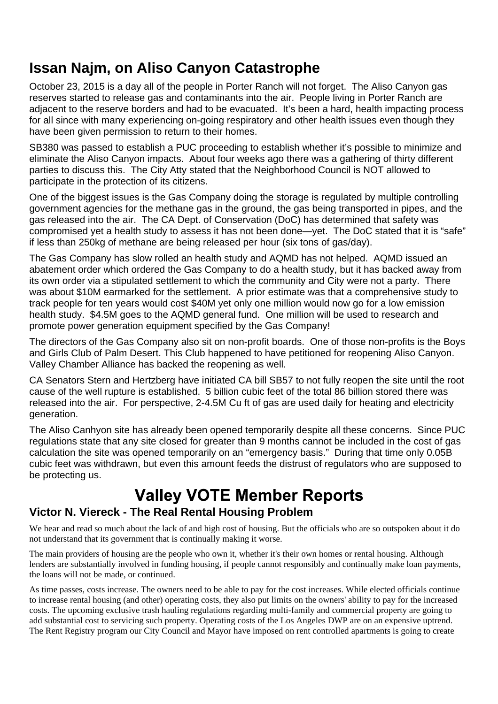October 23, 2015 is a day all of the people in Porter Ranch will not forget. The Aliso Canyon gas reserves started to release gas and contaminants into the air. People living in Porter Ranch are adjacent to the reserve borders and had to be evacuated. It's been a hard, health impacting process for all since with many experiencing on-going respiratory and other health issues even though they have been given permission to return to their homes.

SB380 was passed to establish a PUC proceeding to establish whether it's possible to minimize and eliminate the Aliso Canyon impacts. About four weeks ago there was a gathering of thirty different parties to discuss this. The City Atty stated that the Neighborhood Council is NOT allowed to participate in the protection of its citizens.

One of the biggest issues is the Gas Company doing the storage is regulated by multiple controlling government agencies for the methane gas in the ground, the gas being transported in pipes, and the gas released into the air. The CA Dept. of Conservation (DoC) has determined that safety was compromised yet a health study to assess it has not been done—yet. The DoC stated that it is "safe" if less than 250kg of methane are being released per hour (six tons of gas/day).

The Gas Company has slow rolled an health study and AQMD has not helped. AQMD issued an abatement order which ordered the Gas Company to do a health study, but it has backed away from its own order via a stipulated settlement to which the community and City were not a party. There was about \$10M earmarked for the settlement. A prior estimate was that a comprehensive study to track people for ten years would cost \$40M yet only one million would now go for a low emission health study. \$4.5M goes to the AQMD general fund. One million will be used to research and promote power generation equipment specified by the Gas Company!

The directors of the Gas Company also sit on non-profit boards. One of those non-profits is the Boys and Girls Club of Palm Desert. This Club happened to have petitioned for reopening Aliso Canyon. Valley Chamber Alliance has backed the reopening as well.

CA Senators Stern and Hertzberg have initiated CA bill SB57 to not fully reopen the site until the root cause of the well rupture is established. 5 billion cubic feet of the total 86 billion stored there was released into the air. For perspective, 2-4.5M Cu ft of gas are used daily for heating and electricity generation.

The Aliso Canhyon site has already been opened temporarily despite all these concerns. Since PUC regulations state that any site closed for greater than 9 months cannot be included in the cost of gas calculation the site was opened temporarily on an "emergency basis." During that time only 0.05B cubic feet was withdrawn, but even this amount feeds the distrust of regulators who are supposed to be protecting us.

# **Valley VOTE Member Reports**

### **Victor N. Viereck - The Real Rental Housing Problem**

We hear and read so much about the lack of and high cost of housing. But the officials who are so outspoken about it do not understand that its government that is continually making it worse.

The main providers of housing are the people who own it, whether it's their own homes or rental housing. Although lenders are substantially involved in funding housing, if people cannot responsibly and continually make loan payments, the loans will not be made, or continued.

As time passes, costs increase. The owners need to be able to pay for the cost increases. While elected officials continue to increase rental housing (and other) operating costs, they also put limits on the owners' ability to pay for the increased costs. The upcoming exclusive trash hauling regulations regarding multi-family and commercial property are going to add substantial cost to servicing such property. Operating costs of the Los Angeles DWP are on an expensive uptrend. The Rent Registry program our City Council and Mayor have imposed on rent controlled apartments is going to create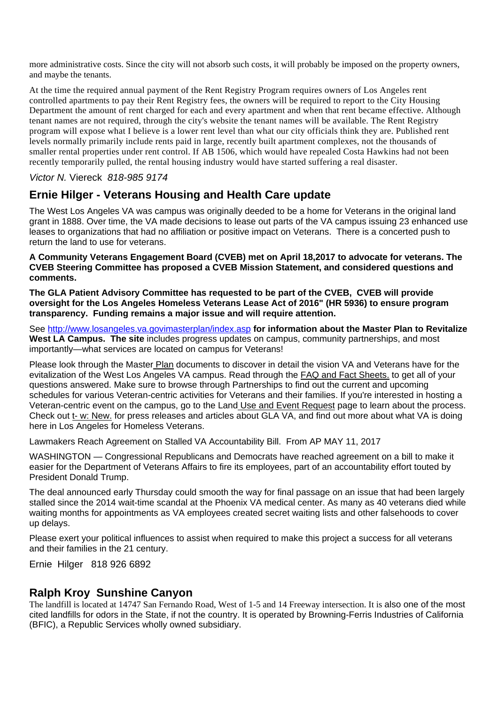more administrative costs. Since the city will not absorb such costs, it will probably be imposed on the property owners, and maybe the tenants.

At the time the required annual payment of the Rent Registry Program requires owners of Los Angeles rent controlled apartments to pay their Rent Registry fees, the owners will be required to report to the City Housing Department the amount of rent charged for each and every apartment and when that rent became effective. Although tenant names are not required, through the city's website the tenant names will be available. The Rent Registry program will expose what I believe is a lower rent level than what our city officials think they are. Published rent levels normally primarily include rents paid in large, recently built apartment complexes, not the thousands of smaller rental properties under rent control. If AB 1506, which would have repealed Costa Hawkins had not been recently temporarily pulled, the rental housing industry would have started suffering a real disaster.

#### *Victor N.* Viereck *818-985 9174*

#### **Ernie Hilger - Veterans Housing and Health Care update**

The West Los Angeles VA was campus was originally deeded to be a home for Veterans in the original land grant in 1888. Over time, the VA made decisions to lease out parts of the VA campus issuing 23 enhanced use leases to organizations that had no affiliation or positive impact on Veterans. There is a concerted push to return the land to use for veterans.

**A Community Veterans Engagement Board (CVEB) met on April 18,2017 to advocate for veterans. The CVEB Steering Committee has proposed a CVEB Mission Statement, and considered questions and comments.**

**The GLA Patient Advisory Committee has requested to be part of the CVEB, CVEB will provide oversight for the Los Angeles Homeless Veterans Lease Act of 2016" (HR 5936) to ensure program transparency. Funding remains a major issue and will require attention.**

See http://www.losangeles.va.govimasterplan/index.asp **for information about the Master Plan to Revitalize West LA Campus. The site** includes progress updates on campus, community partnerships, and most importantly—what services are located on campus for Veterans!

Please look through the Master Plan documents to discover in detail the vision VA and Veterans have for the evitalization of the West Los Angeles VA campus. Read through the FAQ and Fact Sheets. to get all of your questions answered. Make sure to browse through Partnerships to find out the current and upcoming schedules for various Veteran-centric activities for Veterans and their families. If you're interested in hosting a Veteran-centric event on the campus, go to the Land Use and Event Request page to learn about the process. Check out t- w: New. for press releases and articles about GLA VA, and find out more about what VA is doing here in Los Angeles for Homeless Veterans.

Lawmakers Reach Agreement on Stalled VA Accountability Bill. From AP MAY 11, 2017

WASHINGTON — Congressional Republicans and Democrats have reached agreement on a bill to make it easier for the Department of Veterans Affairs to fire its employees, part of an accountability effort touted by President Donald Trump.

The deal announced early Thursday could smooth the way for final passage on an issue that had been largely stalled since the 2014 wait-time scandal at the Phoenix VA medical center. As many as 40 veterans died while waiting months for appointments as VA employees created secret waiting lists and other falsehoods to cover up delays.

Please exert your political influences to assist when required to make this project a success for all veterans and their families in the 21 century.

Ernie Hilger 818 926 6892

#### **Ralph Kroy Sunshine Canyon**

The landfill is located at 14747 San Fernando Road, West of 1-5 and 14 Freeway intersection. It is also one of the most cited landfills for odors in the State, if not the country. It is operated by Browning-Ferris Industries of California (BFIC), a Republic Services wholly owned subsidiary.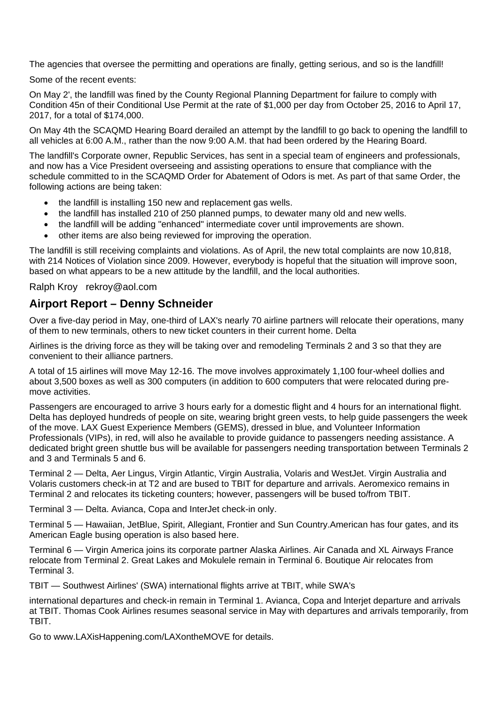The agencies that oversee the permitting and operations are finally, getting serious, and so is the landfill!

Some of the recent events:

On May 2', the landfill was fined by the County Regional Planning Department for failure to comply with Condition 45n of their Conditional Use Permit at the rate of \$1,000 per day from October 25, 2016 to April 17, 2017, for a total of \$174,000.

On May 4th the SCAQMD Hearing Board derailed an attempt by the landfill to go back to opening the landfill to all vehicles at 6:00 A.M., rather than the now 9:00 A.M. that had been ordered by the Hearing Board.

The landfill's Corporate owner, Republic Services, has sent in a special team of engineers and professionals, and now has a Vice President overseeing and assisting operations to ensure that compliance with the schedule committed to in the SCAQMD Order for Abatement of Odors is met. As part of that same Order, the following actions are being taken:

- the landfill is installing 150 new and replacement gas wells.
- the landfill has installed 210 of 250 planned pumps, to dewater many old and new wells.
- the landfill will be adding "enhanced" intermediate cover until improvements are shown.
- other items are also being reviewed for improving the operation.

The landfill is still receiving complaints and violations. As of April, the new total complaints are now 10,818, with 214 Notices of Violation since 2009. However, everybody is hopeful that the situation will improve soon, based on what appears to be a new attitude by the landfill, and the local authorities.

Ralph Kroy rekroy@aol.com

#### **Airport Report – Denny Schneider**

Over a five-day period in May, one-third of LAX's nearly 70 airline partners will relocate their operations, many of them to new terminals, others to new ticket counters in their current home. Delta

Airlines is the driving force as they will be taking over and remodeling Terminals 2 and 3 so that they are convenient to their alliance partners.

A total of 15 airlines will move May 12-16. The move involves approximately 1,100 four-wheel dollies and about 3,500 boxes as well as 300 computers (in addition to 600 computers that were relocated during premove activities.

Passengers are encouraged to arrive 3 hours early for a domestic flight and 4 hours for an international flight. Delta has deployed hundreds of people on site, wearing bright green vests, to help guide passengers the week of the move. LAX Guest Experience Members (GEMS), dressed in blue, and Volunteer Information Professionals (VIPs), in red, will also he available to provide guidance to passengers needing assistance. A dedicated bright green shuttle bus will be available for passengers needing transportation between Terminals 2 and 3 and Terminals 5 and 6.

Terminal 2 — Delta, Aer Lingus, Virgin Atlantic, Virgin Australia, Volaris and WestJet. Virgin Australia and Volaris customers check-in at T2 and are bused to TBIT for departure and arrivals. Aeromexico remains in Terminal 2 and relocates its ticketing counters; however, passengers will be bused to/from TBIT.

Terminal 3 — Delta. Avianca, Copa and InterJet check-in only.

Terminal 5 — Hawaiian, JetBlue, Spirit, Allegiant, Frontier and Sun Country.American has four gates, and its American Eagle busing operation is also based here.

Terminal 6 — Virgin America joins its corporate partner Alaska Airlines. Air Canada and XL Airways France relocate from Terminal 2. Great Lakes and Mokulele remain in Terminal 6. Boutique Air relocates from Terminal 3.

TBIT — Southwest Airlines' (SWA) international flights arrive at TBIT, while SWA's

international departures and check-in remain in Terminal 1. Avianca, Copa and lnterjet departure and arrivals at TBIT. Thomas Cook Airlines resumes seasonal service in May with departures and arrivals temporarily, from TBIT.

Go to www.LAXisHappening.com/LAXontheMOVE for details.